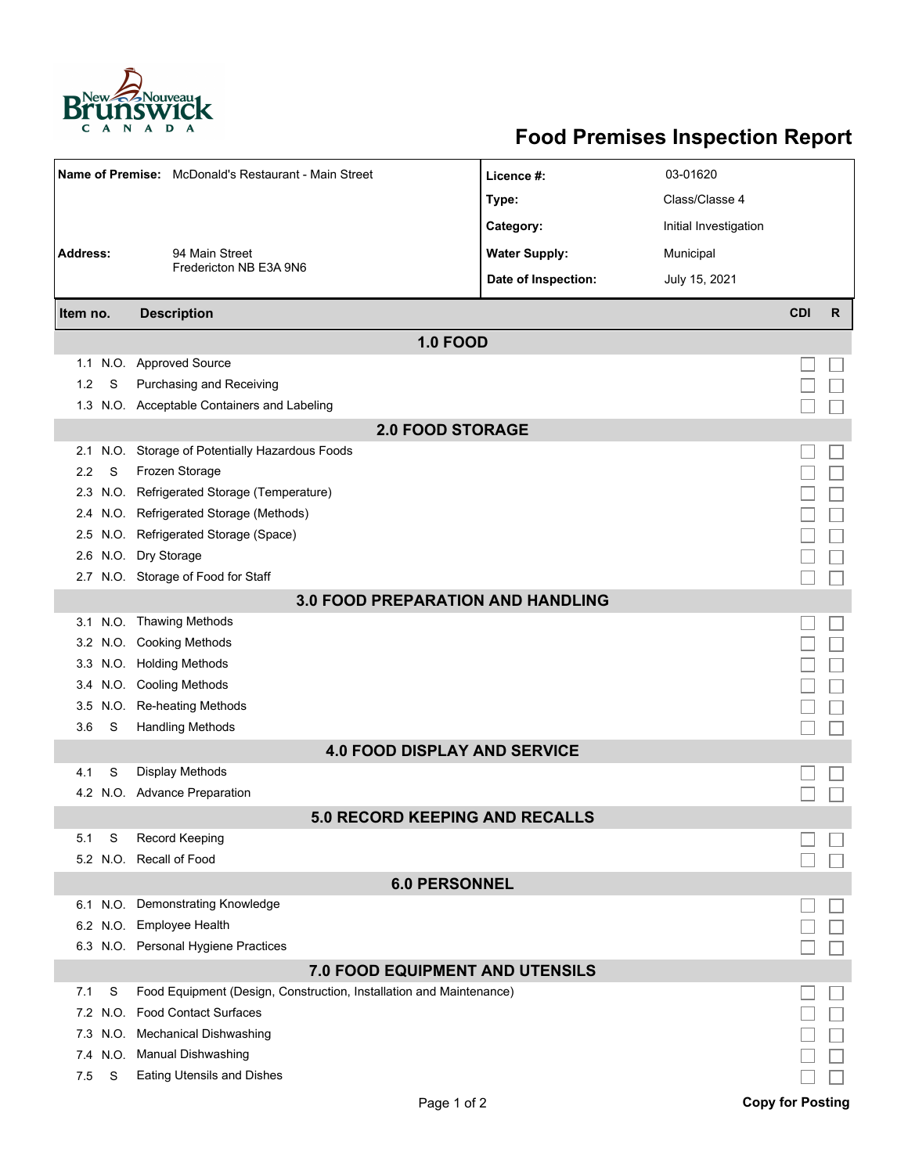

## **Food Premises Inspection Report**

| Name of Premise: McDonald's Restaurant - Main Street |      |                                                                     | Licence #:           | 03-01620              |            |              |  |  |  |  |
|------------------------------------------------------|------|---------------------------------------------------------------------|----------------------|-----------------------|------------|--------------|--|--|--|--|
|                                                      |      |                                                                     | Type:                | Class/Classe 4        |            |              |  |  |  |  |
|                                                      |      |                                                                     | Category:            | Initial Investigation |            |              |  |  |  |  |
| <b>Address:</b>                                      |      | 94 Main Street                                                      | <b>Water Supply:</b> | Municipal             |            |              |  |  |  |  |
|                                                      |      | Fredericton NB E3A 9N6                                              |                      |                       |            |              |  |  |  |  |
|                                                      |      |                                                                     | Date of Inspection:  | July 15, 2021         |            |              |  |  |  |  |
| Item no.                                             |      | <b>Description</b>                                                  |                      |                       | <b>CDI</b> | $\mathsf{R}$ |  |  |  |  |
| <b>1.0 FOOD</b>                                      |      |                                                                     |                      |                       |            |              |  |  |  |  |
|                                                      |      | 1.1 N.O. Approved Source                                            |                      |                       |            |              |  |  |  |  |
| 1.2                                                  | S    | Purchasing and Receiving                                            |                      |                       |            |              |  |  |  |  |
|                                                      |      | 1.3 N.O. Acceptable Containers and Labeling                         |                      |                       |            |              |  |  |  |  |
| <b>2.0 FOOD STORAGE</b>                              |      |                                                                     |                      |                       |            |              |  |  |  |  |
| 2.1                                                  |      | N.O. Storage of Potentially Hazardous Foods                         |                      |                       |            |              |  |  |  |  |
| 2.2                                                  | S    | Frozen Storage                                                      |                      |                       |            |              |  |  |  |  |
| 2.3                                                  |      | N.O. Refrigerated Storage (Temperature)                             |                      |                       |            |              |  |  |  |  |
| 2.4                                                  |      | N.O. Refrigerated Storage (Methods)                                 |                      |                       |            |              |  |  |  |  |
|                                                      |      | 2.5 N.O. Refrigerated Storage (Space)                               |                      |                       |            |              |  |  |  |  |
| 2.6                                                  |      | N.O. Dry Storage                                                    |                      |                       |            |              |  |  |  |  |
|                                                      |      | 2.7 N.O. Storage of Food for Staff                                  |                      |                       |            |              |  |  |  |  |
| <b>3.0 FOOD PREPARATION AND HANDLING</b>             |      |                                                                     |                      |                       |            |              |  |  |  |  |
|                                                      |      | 3.1 N.O. Thawing Methods                                            |                      |                       |            |              |  |  |  |  |
| 3.2                                                  |      | N.O. Cooking Methods                                                |                      |                       |            |              |  |  |  |  |
| 3.3                                                  |      | N.O. Holding Methods                                                |                      |                       |            |              |  |  |  |  |
| 3.4                                                  |      | N.O. Cooling Methods                                                |                      |                       |            |              |  |  |  |  |
| 3.5                                                  |      | N.O. Re-heating Methods                                             |                      |                       |            |              |  |  |  |  |
| 3.6                                                  | S    | <b>Handling Methods</b>                                             |                      |                       |            |              |  |  |  |  |
|                                                      |      | <b>4.0 FOOD DISPLAY AND SERVICE</b>                                 |                      |                       |            |              |  |  |  |  |
| 4.1                                                  | S    | Display Methods                                                     |                      |                       |            |              |  |  |  |  |
|                                                      |      | 4.2 N.O. Advance Preparation                                        |                      |                       |            |              |  |  |  |  |
|                                                      |      | <b>5.0 RECORD KEEPING AND RECALLS</b>                               |                      |                       |            |              |  |  |  |  |
| 5.1                                                  | S    | <b>Record Keeping</b>                                               |                      |                       |            |              |  |  |  |  |
|                                                      |      | 5.2 N.O. Recall of Food                                             |                      |                       |            |              |  |  |  |  |
| <b>6.0 PERSONNEL</b>                                 |      |                                                                     |                      |                       |            |              |  |  |  |  |
|                                                      |      | 6.1 N.O. Demonstrating Knowledge                                    |                      |                       |            |              |  |  |  |  |
|                                                      |      | 6.2 N.O. Employee Health                                            |                      |                       |            |              |  |  |  |  |
|                                                      |      | 6.3 N.O. Personal Hygiene Practices                                 |                      |                       |            |              |  |  |  |  |
| 7.0 FOOD EQUIPMENT AND UTENSILS                      |      |                                                                     |                      |                       |            |              |  |  |  |  |
| 7.1                                                  | S    | Food Equipment (Design, Construction, Installation and Maintenance) |                      |                       |            |              |  |  |  |  |
| 7.2                                                  |      | N.O. Food Contact Surfaces                                          |                      |                       |            |              |  |  |  |  |
| 7.3                                                  | N.O. | <b>Mechanical Dishwashing</b>                                       |                      |                       |            |              |  |  |  |  |
| 7.4                                                  |      | N.O. Manual Dishwashing                                             |                      |                       |            |              |  |  |  |  |
| 7.5                                                  | S    | <b>Eating Utensils and Dishes</b>                                   |                      |                       |            |              |  |  |  |  |